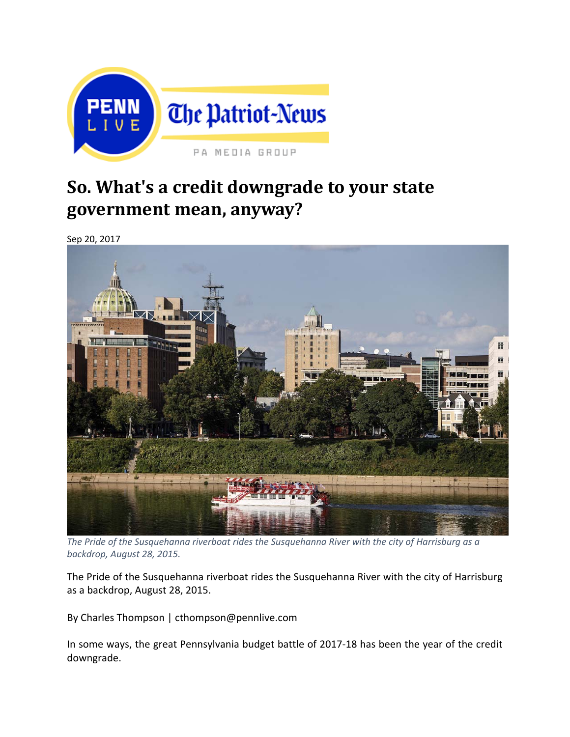

# **So. What's a credit downgrade to your state government mean, anyway?**

Sep 20, 2017



*The Pride of the Susquehanna riverboat rides the Susquehanna River with the city of Harrisburg as a backdrop, August 28, 2015.*

The Pride of the Susquehanna riverboat rides the Susquehanna River with the city of Harrisburg as a backdrop, August 28, 2015.

By Charles Thompson | cthompson@pennlive.com

In some ways, the great Pennsylvania budget battle of 2017‐18 has been the year of the credit downgrade.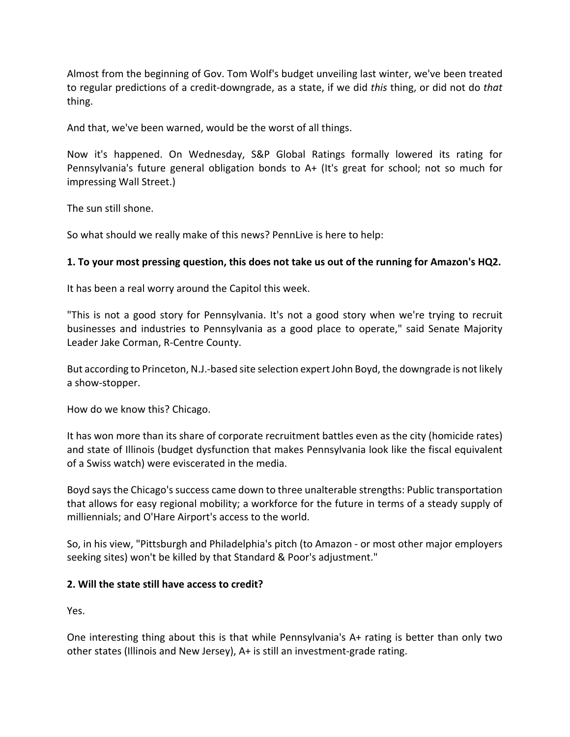Almost from the beginning of Gov. Tom Wolf's budget unveiling last winter, we've been treated to regular predictions of a credit‐downgrade, as a state, if we did *this* thing, or did not do *that* thing.

And that, we've been warned, would be the worst of all things.

Now it's happened. On Wednesday, S&P Global Ratings formally lowered its rating for Pennsylvania's future general obligation bonds to A+ (It's great for school; not so much for impressing Wall Street.)

The sun still shone.

So what should we really make of this news? PennLive is here to help:

#### **1. To your most pressing question, this does not take us out of the running for Amazon's HQ2.**

It has been a real worry around the Capitol this week.

"This is not a good story for Pennsylvania. It's not a good story when we're trying to recruit businesses and industries to Pennsylvania as a good place to operate," said Senate Majority Leader Jake Corman, R‐Centre County.

But according to Princeton, N.J.-based site selection expert John Boyd, the downgrade is not likely a show‐stopper.

How do we know this? Chicago.

It has won more than its share of corporate recruitment battles even as the city (homicide rates) and state of Illinois (budget dysfunction that makes Pennsylvania look like the fiscal equivalent of a Swiss watch) were eviscerated in the media.

Boyd says the Chicago's success came down to three unalterable strengths: Public transportation that allows for easy regional mobility; a workforce for the future in terms of a steady supply of milliennials; and O'Hare Airport's access to the world.

So, in his view, "Pittsburgh and Philadelphia's pitch (to Amazon ‐ or most other major employers seeking sites) won't be killed by that Standard & Poor's adjustment."

#### **2. Will the state still have access to credit?**

Yes.

One interesting thing about this is that while Pennsylvania's A+ rating is better than only two other states (Illinois and New Jersey), A+ is still an investment‐grade rating.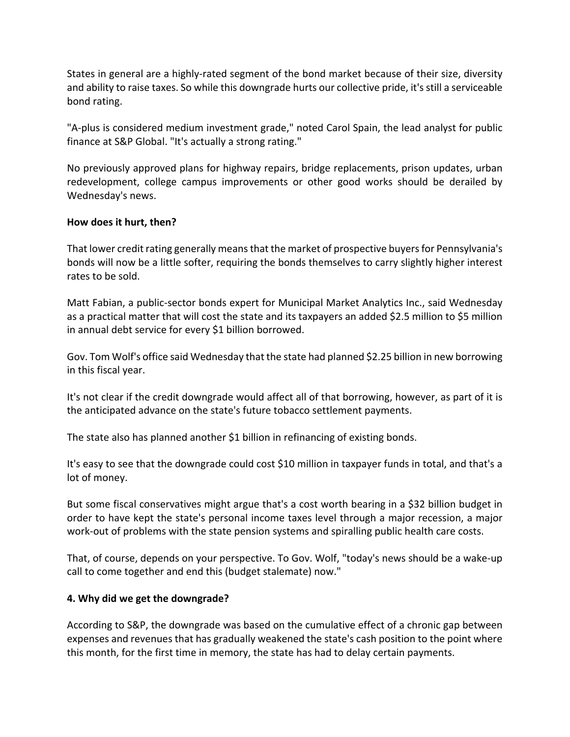States in general are a highly‐rated segment of the bond market because of their size, diversity and ability to raise taxes. So while this downgrade hurts our collective pride, it'sstill a serviceable bond rating.

"A-plus is considered medium investment grade," noted Carol Spain, the lead analyst for public finance at S&P Global. "It's actually a strong rating."

No previously approved plans for highway repairs, bridge replacements, prison updates, urban redevelopment, college campus improvements or other good works should be derailed by Wednesday's news.

### **How does it hurt, then?**

That lower credit rating generally means that the market of prospective buyers for Pennsylvania's bonds will now be a little softer, requiring the bonds themselves to carry slightly higher interest rates to be sold.

Matt Fabian, a public‐sector bonds expert for Municipal Market Analytics Inc., said Wednesday as a practical matter that will cost the state and its taxpayers an added \$2.5 million to \$5 million in annual debt service for every \$1 billion borrowed.

Gov. Tom Wolf's office said Wednesday that the state had planned \$2.25 billion in new borrowing in this fiscal year.

It's not clear if the credit downgrade would affect all of that borrowing, however, as part of it is the anticipated advance on the state's future tobacco settlement payments.

The state also has planned another \$1 billion in refinancing of existing bonds.

It's easy to see that the downgrade could cost \$10 million in taxpayer funds in total, and that's a lot of money.

But some fiscal conservatives might argue that's a cost worth bearing in a \$32 billion budget in order to have kept the state's personal income taxes level through a major recession, a major work-out of problems with the state pension systems and spiralling public health care costs.

That, of course, depends on your perspective. To Gov. Wolf, "today's news should be a wake‐up call to come together and end this (budget stalemate) now."

## **4. Why did we get the downgrade?**

According to S&P, the downgrade was based on the cumulative effect of a chronic gap between expenses and revenues that has gradually weakened the state's cash position to the point where this month, for the first time in memory, the state has had to delay certain payments.